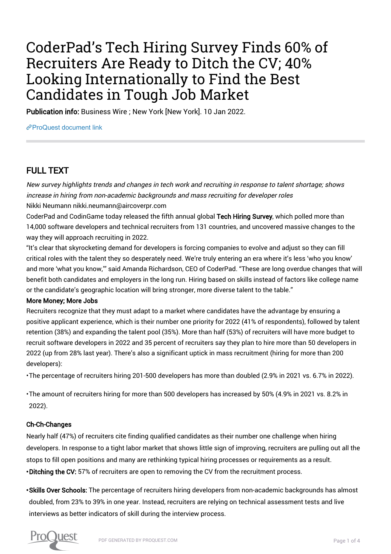# CoderPad's Tech Hiring Survey Finds 60% of Recruiters Are Ready to Ditch the CV; 40% Looking Internationally to Find the Best Candidates in Tough Job Market

Publication info: Business Wire ; New York [New York]. 10 Jan 2022.

[ProQuest document link](https://www.proquest.com/wire-feeds/coderpad-s-tech-hiring-survey-finds-60-recruiters/docview/2618137234/se-2?accountid=44910)

# FULL TEXT

New survey highlights trends and changes in tech work and recruiting in response to talent shortage; shows increase in hiring from non-academic backgrounds and mass recruiting for developer roles Nikki Neumann nikki.neumann@aircoverpr.com

CoderPad and CodinGame today released the fifth annual global Tech Hiring Survey, which polled more than 14,000 software developers and technical recruiters from 131 countries, and uncovered massive changes to the way they will approach recruiting in 2022.

"It's clear that skyrocketing demand for developers is forcing companies to evolve and adjust so they can fill critical roles with the talent they so desperately need. We're truly entering an era where it's less 'who you know' and more 'what you know,'" said Amanda Richardson, CEO of CoderPad. "These are long overdue changes that will benefit both candidates and employers in the long run. Hiring based on skills instead of factors like college name or the candidate's geographic location will bring stronger, more diverse talent to the table."

# More Money; More Jobs

Recruiters recognize that they must adapt to a market where candidates have the advantage by ensuring a positive applicant experience, which is their number one priority for 2022 (41% of respondents), followed by talent retention (38%) and expanding the talent pool (35%). More than half (53%) of recruiters will have more budget to recruit software developers in 2022 and 35 percent of recruiters say they plan to hire more than 50 developers in 2022 (up from 28% last year). There's also a significant uptick in mass recruitment (hiring for more than 200 developers):

• The percentage of recruiters hiring 201-500 developers has more than doubled (2.9% in 2021 vs. 6.7% in 2022).

• The amount of recruiters hiring for more than 500 developers has increased by 50% (4.9% in 2021 vs. 8.2% in 2022).

# Ch-Ch-Changes

• Ditching the CV: 57% of recruiters are open to removing the CV from the recruitment process. Nearly half (47%) of recruiters cite finding qualified candidates as their number one challenge when hiring developers. In response to a tight labor market that shows little sign of improving, recruiters are pulling out all the stops to fill open positions and many are rethinking typical hiring processes or requirements as a result.

• Skills Over Schools: The percentage of recruiters hiring developers from non-academic backgrounds has almost doubled, from 23% to 39% in one year. Instead, recruiters are relying on technical assessment tests and live interviews as better indicators of skill during the interview process.

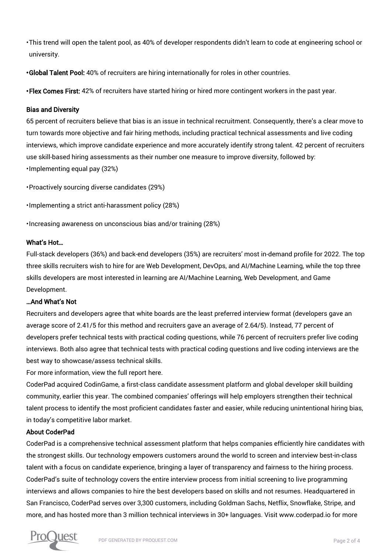• This trend will open the talent pool, as 40% of developer respondents didn't learn to code at engineering school or university.

• Global Talent Pool: 40% of recruiters are hiring internationally for roles in other countries.

• Flex Comes First: 42% of recruiters have started hiring or hired more contingent workers in the past year.

# Bias and Diversity

• Implementing equal pay (32%) 65 percent of recruiters believe that bias is an issue in technical recruitment. Consequently, there's a clear move to turn towards more objective and fair hiring methods, including practical technical assessments and live coding interviews, which improve candidate experience and more accurately identify strong talent. 42 percent of recruiters use skill-based hiring assessments as their number one measure to improve diversity, followed by:

• Proactively sourcing diverse candidates (29%)

• Implementing a strict anti-harassment policy (28%)

• Increasing awareness on unconscious bias and/or training (28%)

#### What's Hot…

Full-stack developers (36%) and back-end developers (35%) are recruiters' most in-demand profile for 2022. The top three skills recruiters wish to hire for are Web Development, DevOps, and AI/Machine Learning, while the top three skills developers are most interested in learning are AI/Machine Learning, Web Development, and Game Development.

# …And What's Not

Recruiters and developers agree that white boards are the least preferred interview format (developers gave an average score of 2.41/5 for this method and recruiters gave an average of 2.64/5). Instead, 77 percent of developers prefer technical tests with practical coding questions, while 76 percent of recruiters prefer live coding interviews. Both also agree that technical tests with practical coding questions and live coding interviews are the best way to showcase/assess technical skills.

For more information, view the full report here.

CoderPad acquired CodinGame, a first-class candidate assessment platform and global developer skill building community, earlier this year. The combined companies' offerings will help employers strengthen their technical talent process to identify the most proficient candidates faster and easier, while reducing unintentional hiring bias, in today's competitive labor market.

# About CoderPad

CoderPad is a comprehensive technical assessment platform that helps companies efficiently hire candidates with the strongest skills. Our technology empowers customers around the world to screen and interview best-in-class talent with a focus on candidate experience, bringing a layer of transparency and fairness to the hiring process. CoderPad's suite of technology covers the entire interview process from initial screening to live programming interviews and allows companies to hire the best developers based on skills and not resumes. Headquartered in San Francisco, CoderPad serves over 3,300 customers, including Goldman Sachs, Netflix, Snowflake, Stripe, and more, and has hosted more than 3 million technical interviews in 30+ languages. Visit www.coderpad.io for more

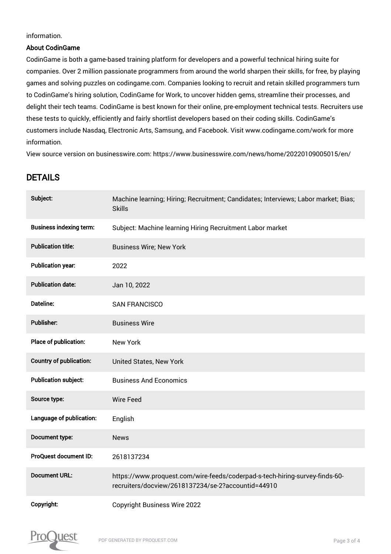information.

# About CodinGame

CodinGame is both a game-based training platform for developers and a powerful technical hiring suite for companies. Over 2 million passionate programmers from around the world sharpen their skills, for free, by playing games and solving puzzles on codingame.com. Companies looking to recruit and retain skilled programmers turn to CodinGame's hiring solution, CodinGame for Work, to uncover hidden gems, streamline their processes, and delight their tech teams. CodinGame is best known for their online, pre-employment technical tests. Recruiters use these tests to quickly, efficiently and fairly shortlist developers based on their coding skills. CodinGame's customers include Nasdaq, Electronic Arts, Samsung, and Facebook. Visit www.codingame.com/work for more information.

View source version on businesswire.com: https://www.businesswire.com/news/home/20220109005015/en/

# DETAILS

| Subject:                       | Machine learning; Hiring; Recruitment; Candidates; Interviews; Labor market; Bias;<br><b>Skills</b>                               |
|--------------------------------|-----------------------------------------------------------------------------------------------------------------------------------|
| <b>Business indexing term:</b> | Subject: Machine learning Hiring Recruitment Labor market                                                                         |
| <b>Publication title:</b>      | <b>Business Wire; New York</b>                                                                                                    |
| <b>Publication year:</b>       | 2022                                                                                                                              |
| <b>Publication date:</b>       | Jan 10, 2022                                                                                                                      |
| <b>Dateline:</b>               | <b>SAN FRANCISCO</b>                                                                                                              |
| <b>Publisher:</b>              | <b>Business Wire</b>                                                                                                              |
| Place of publication:          | <b>New York</b>                                                                                                                   |
| <b>Country of publication:</b> | United States, New York                                                                                                           |
| <b>Publication subject:</b>    | <b>Business And Economics</b>                                                                                                     |
| Source type:                   | <b>Wire Feed</b>                                                                                                                  |
| Language of publication:       | English                                                                                                                           |
| Document type:                 | <b>News</b>                                                                                                                       |
| <b>ProQuest document ID:</b>   | 2618137234                                                                                                                        |
| <b>Document URL:</b>           | https://www.proquest.com/wire-feeds/coderpad-s-tech-hiring-survey-finds-60-<br>recruiters/docview/2618137234/se-2?accountid=44910 |
| Copyright:                     | <b>Copyright Business Wire 2022</b>                                                                                               |